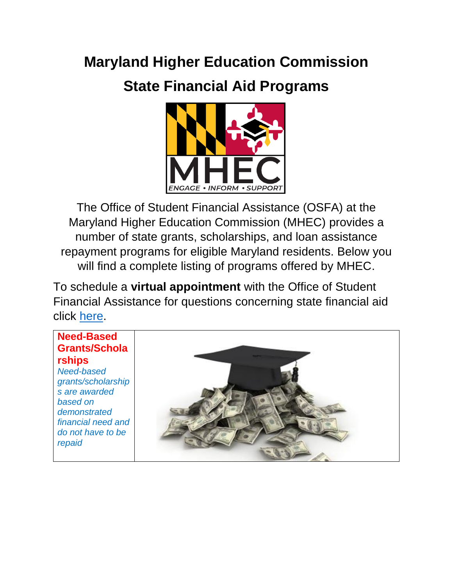## **Maryland Higher Education Commission**

## **State Financial Aid Programs**



The Office of Student Financial Assistance (OSFA) at the Maryland Higher Education Commission (MHEC) provides a number of state grants, scholarships, and loan assistance repayment programs for eligible Maryland residents. Below you will find a complete listing of programs offered by MHEC.

To schedule a **virtual appointment** with the Office of Student Financial Assistance for questions concerning state financial aid click [here.](https://mhec.maryland.gov/preparing/Pages/virtualmeeting-OSFA.aspx)

## **Need-Based Grants/Schola rships** *Need-based grants/scholarship*

*s are awarded based on demonstrated financial need and do not have to be repaid*

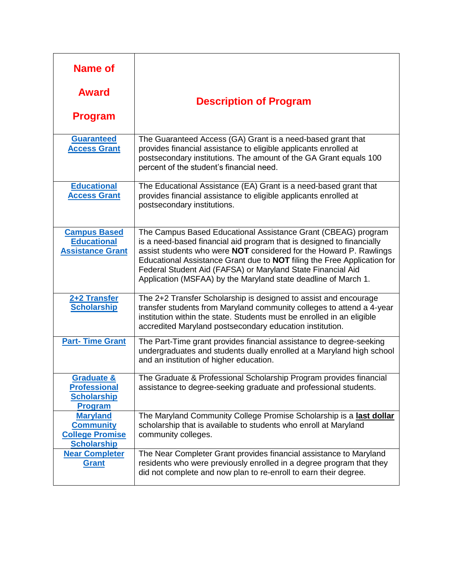| <b>Name of</b><br><b>Award</b><br><b>Program</b>                                    | <b>Description of Program</b>                                                                                                                                                                                                                                                                                                                                                                                                   |
|-------------------------------------------------------------------------------------|---------------------------------------------------------------------------------------------------------------------------------------------------------------------------------------------------------------------------------------------------------------------------------------------------------------------------------------------------------------------------------------------------------------------------------|
| <b>Guaranteed</b><br><b>Access Grant</b>                                            | The Guaranteed Access (GA) Grant is a need-based grant that<br>provides financial assistance to eligible applicants enrolled at<br>postsecondary institutions. The amount of the GA Grant equals 100<br>percent of the student's financial need.                                                                                                                                                                                |
| <b>Educational</b><br><b>Access Grant</b>                                           | The Educational Assistance (EA) Grant is a need-based grant that<br>provides financial assistance to eligible applicants enrolled at<br>postsecondary institutions.                                                                                                                                                                                                                                                             |
| <b>Campus Based</b><br><b>Educational</b><br><b>Assistance Grant</b>                | The Campus Based Educational Assistance Grant (CBEAG) program<br>is a need-based financial aid program that is designed to financially<br>assist students who were NOT considered for the Howard P. Rawlings<br>Educational Assistance Grant due to <b>NOT</b> filing the Free Application for<br>Federal Student Aid (FAFSA) or Maryland State Financial Aid<br>Application (MSFAA) by the Maryland state deadline of March 1. |
| 2+2 Transfer<br><b>Scholarship</b>                                                  | The 2+2 Transfer Scholarship is designed to assist and encourage<br>transfer students from Maryland community colleges to attend a 4-year<br>institution within the state. Students must be enrolled in an eligible<br>accredited Maryland postsecondary education institution.                                                                                                                                                 |
| <b>Part-Time Grant</b>                                                              | The Part-Time grant provides financial assistance to degree-seeking<br>undergraduates and students dually enrolled at a Maryland high school<br>and an institution of higher education.                                                                                                                                                                                                                                         |
| Graduate &<br><b>Professional</b><br><b>Scholarship</b><br>Program                  | The Graduate & Professional Scholarship Program provides financial<br>assistance to degree-seeking graduate and professional students.                                                                                                                                                                                                                                                                                          |
| <b>Maryland</b><br><b>Community</b><br><b>College Promise</b><br><b>Scholarship</b> | The Maryland Community College Promise Scholarship is a last dollar<br>scholarship that is available to students who enroll at Maryland<br>community colleges.                                                                                                                                                                                                                                                                  |
| <b>Near Completer</b><br>Grant                                                      | The Near Completer Grant provides financial assistance to Maryland<br>residents who were previously enrolled in a degree program that they<br>did not complete and now plan to re-enroll to earn their degree.                                                                                                                                                                                                                  |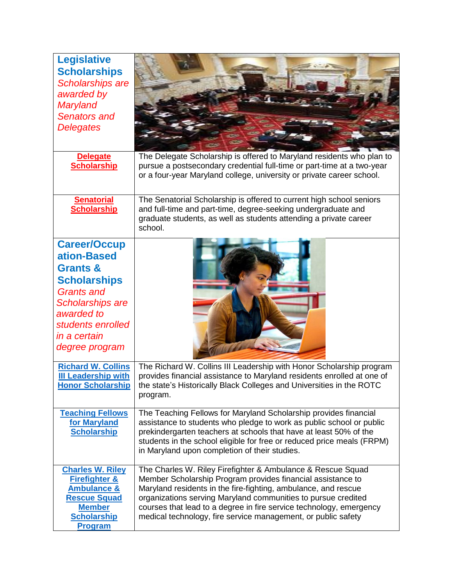| <b>Legislative</b><br><b>Scholarships</b><br><b>Scholarships are</b><br>awarded by<br>Maryland<br><b>Senators and</b><br><b>Delegates</b>                                                                                                                                                     |                                                                                                                                                                                                                                                                                                                                                                                                       |
|-----------------------------------------------------------------------------------------------------------------------------------------------------------------------------------------------------------------------------------------------------------------------------------------------|-------------------------------------------------------------------------------------------------------------------------------------------------------------------------------------------------------------------------------------------------------------------------------------------------------------------------------------------------------------------------------------------------------|
| <b>Delegate</b><br><b>Scholarship</b>                                                                                                                                                                                                                                                         | The Delegate Scholarship is offered to Maryland residents who plan to<br>pursue a postsecondary credential full-time or part-time at a two-year<br>or a four-year Maryland college, university or private career school.                                                                                                                                                                              |
| <b>Senatorial</b><br><b>Scholarship</b>                                                                                                                                                                                                                                                       | The Senatorial Scholarship is offered to current high school seniors<br>and full-time and part-time, degree-seeking undergraduate and<br>graduate students, as well as students attending a private career<br>school.                                                                                                                                                                                 |
| <b>Career/Occup</b><br>ation-Based<br><b>Grants &amp;</b><br><b>Scholarships</b><br><b>Grants and</b><br><b>Scholarships are</b><br>awarded to<br>students enrolled<br>in a certain<br>degree program<br><b>Richard W. Collins</b><br><b>III Leadership with</b><br><u> Honor Scholarship</u> | The Richard W. Collins III Leadership with Honor Scholarship program<br>provides financial assistance to Maryland residents enrolled at one of<br>the state's Historically Black Colleges and Universities in the ROTC<br>program.                                                                                                                                                                    |
| <b>Teaching Fellows</b><br>for Maryland<br><b>Scholarship</b>                                                                                                                                                                                                                                 | The Teaching Fellows for Maryland Scholarship provides financial<br>assistance to students who pledge to work as public school or public<br>prekindergarten teachers at schools that have at least 50% of the<br>students in the school eligible for free or reduced price meals (FRPM)<br>in Maryland upon completion of their studies.                                                              |
| <b>Charles W. Riley</b><br><b>Firefighter &amp;</b><br><b>Ambulance &amp;</b><br><b>Rescue Squad</b><br><b>Member</b><br><b>Scholarship</b><br><b>Program</b>                                                                                                                                 | The Charles W. Riley Firefighter & Ambulance & Rescue Squad<br>Member Scholarship Program provides financial assistance to<br>Maryland residents in the fire-fighting, ambulance, and rescue<br>organizations serving Maryland communities to pursue credited<br>courses that lead to a degree in fire service technology, emergency<br>medical technology, fire service management, or public safety |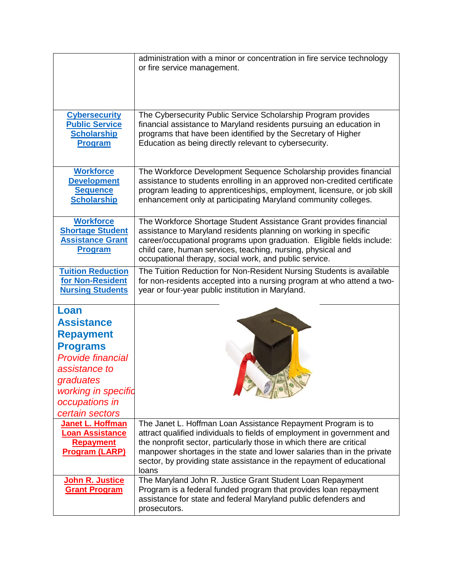|                                                                                                                                                                                        | administration with a minor or concentration in fire service technology<br>or fire service management.                                                                                                                                                                                                                                                                      |
|----------------------------------------------------------------------------------------------------------------------------------------------------------------------------------------|-----------------------------------------------------------------------------------------------------------------------------------------------------------------------------------------------------------------------------------------------------------------------------------------------------------------------------------------------------------------------------|
|                                                                                                                                                                                        |                                                                                                                                                                                                                                                                                                                                                                             |
| <b>Cybersecurity</b><br><b>Public Service</b><br><b>Scholarship</b><br><b>Program</b>                                                                                                  | The Cybersecurity Public Service Scholarship Program provides<br>financial assistance to Maryland residents pursuing an education in<br>programs that have been identified by the Secretary of Higher<br>Education as being directly relevant to cybersecurity.                                                                                                             |
| <b>Workforce</b><br><b>Development</b><br><b>Sequence</b><br><b>Scholarship</b>                                                                                                        | The Workforce Development Sequence Scholarship provides financial<br>assistance to students enrolling in an approved non-credited certificate<br>program leading to apprenticeships, employment, licensure, or job skill<br>enhancement only at participating Maryland community colleges.                                                                                  |
| <b>Workforce</b><br><b>Shortage Student</b><br><b>Assistance Grant</b><br><b>Program</b>                                                                                               | The Workforce Shortage Student Assistance Grant provides financial<br>assistance to Maryland residents planning on working in specific<br>career/occupational programs upon graduation. Eligible fields include:<br>child care, human services, teaching, nursing, physical and<br>occupational therapy, social work, and public service.                                   |
| <b>Tuition Reduction</b><br>for Non-Resident<br><b>Nursing Students</b>                                                                                                                | The Tuition Reduction for Non-Resident Nursing Students is available<br>for non-residents accepted into a nursing program at who attend a two-<br>year or four-year public institution in Maryland.                                                                                                                                                                         |
| Loan<br><b>Assistance</b><br><b>Repayment</b><br><b>Programs</b><br><b>Provide financial</b><br>assistance to<br>graduates<br>working in specific<br>occupations in<br>certain sectors |                                                                                                                                                                                                                                                                                                                                                                             |
| <b>Janet L. Hoffman</b><br><b>Loan Assistance</b><br><b>Repayment</b><br><b>Program (LARP)</b>                                                                                         | The Janet L. Hoffman Loan Assistance Repayment Program is to<br>attract qualified individuals to fields of employment in government and<br>the nonprofit sector, particularly those in which there are critical<br>manpower shortages in the state and lower salaries than in the private<br>sector, by providing state assistance in the repayment of educational<br>loans |
| <b>John R. Justice</b><br><b>Grant Program</b>                                                                                                                                         | The Maryland John R. Justice Grant Student Loan Repayment<br>Program is a federal funded program that provides loan repayment<br>assistance for state and federal Maryland public defenders and<br>prosecutors.                                                                                                                                                             |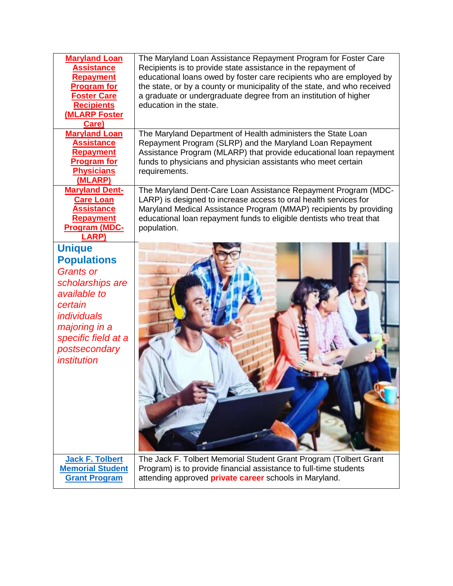| <b>Maryland Loan</b><br><b>Assistance</b><br><b>Repayment</b><br><b>Program for</b><br><b>Foster Care</b><br><b>Recipients</b><br><b>(MLARP Foster</b><br>Care)<br><b>Maryland Loan</b><br><b>Assistance</b><br><b>Repayment</b><br><b>Program for</b> | The Maryland Loan Assistance Repayment Program for Foster Care<br>Recipients is to provide state assistance in the repayment of<br>educational loans owed by foster care recipients who are employed by<br>the state, or by a county or municipality of the state, and who received<br>a graduate or undergraduate degree from an institution of higher<br>education in the state.<br>The Maryland Department of Health administers the State Loan<br>Repayment Program (SLRP) and the Maryland Loan Repayment<br>Assistance Program (MLARP) that provide educational loan repayment<br>funds to physicians and physician assistants who meet certain |
|--------------------------------------------------------------------------------------------------------------------------------------------------------------------------------------------------------------------------------------------------------|-------------------------------------------------------------------------------------------------------------------------------------------------------------------------------------------------------------------------------------------------------------------------------------------------------------------------------------------------------------------------------------------------------------------------------------------------------------------------------------------------------------------------------------------------------------------------------------------------------------------------------------------------------|
| <b>Physicians</b><br>(MLARP)<br><b>Maryland Dent-</b><br><b>Care Loan</b><br><b>Assistance</b><br><b>Repayment</b><br><b>Program (MDC-</b><br>LARP)                                                                                                    | requirements.<br>The Maryland Dent-Care Loan Assistance Repayment Program (MDC-<br>LARP) is designed to increase access to oral health services for<br>Maryland Medical Assistance Program (MMAP) recipients by providing<br>educational loan repayment funds to eligible dentists who treat that<br>population.                                                                                                                                                                                                                                                                                                                                      |
| <b>Unique</b><br><b>Populations</b><br><b>Grants or</b><br>scholarships are<br>available to<br>certain<br><i>individuals</i><br>majoring in a<br>specific field at a<br>postsecondary<br>institution                                                   |                                                                                                                                                                                                                                                                                                                                                                                                                                                                                                                                                                                                                                                       |
| <b>Jack F. Tolbert</b><br><b>Memorial Student</b><br><b>Grant Program</b>                                                                                                                                                                              | The Jack F. Tolbert Memorial Student Grant Program (Tolbert Grant<br>Program) is to provide financial assistance to full-time students<br>attending approved <b>private career</b> schools in Maryland.                                                                                                                                                                                                                                                                                                                                                                                                                                               |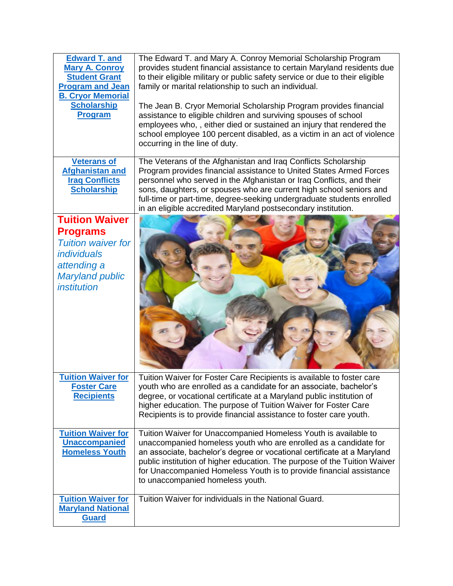| <b>Edward T. and</b><br><b>Mary A. Conroy</b><br><b>Student Grant</b><br><b>Program and Jean</b><br><b>B. Cryor Memorial</b><br><b>Scholarship</b><br>Program     | The Edward T. and Mary A. Conroy Memorial Scholarship Program<br>provides student financial assistance to certain Maryland residents due<br>to their eligible military or public safety service or due to their eligible<br>family or marital relationship to such an individual.<br>The Jean B. Cryor Memorial Scholarship Program provides financial<br>assistance to eligible children and surviving spouses of school<br>employees who,, either died or sustained an injury that rendered the<br>school employee 100 percent disabled, as a victim in an act of violence<br>occurring in the line of duty. |
|-------------------------------------------------------------------------------------------------------------------------------------------------------------------|----------------------------------------------------------------------------------------------------------------------------------------------------------------------------------------------------------------------------------------------------------------------------------------------------------------------------------------------------------------------------------------------------------------------------------------------------------------------------------------------------------------------------------------------------------------------------------------------------------------|
| <b>Veterans of</b><br><b>Afghanistan and</b><br><b>Iraq Conflicts</b><br><b>Scholarship</b>                                                                       | The Veterans of the Afghanistan and Iraq Conflicts Scholarship<br>Program provides financial assistance to United States Armed Forces<br>personnel who served in the Afghanistan or Iraq Conflicts, and their<br>sons, daughters, or spouses who are current high school seniors and<br>full-time or part-time, degree-seeking undergraduate students enrolled<br>in an eligible accredited Maryland postsecondary institution.                                                                                                                                                                                |
| <b>Tuition Waiver</b><br><b>Programs</b><br><b>Tuition waiver for</b><br><i>individuals</i><br>attending a<br><b>Maryland public</b><br><i><b>institution</b></i> |                                                                                                                                                                                                                                                                                                                                                                                                                                                                                                                                                                                                                |
| <b>Tuition Waiver for</b><br><b>Foster Care</b><br><b>Recipients</b>                                                                                              | Tuition Waiver for Foster Care Recipients is available to foster care<br>youth who are enrolled as a candidate for an associate, bachelor's<br>degree, or vocational certificate at a Maryland public institution of<br>higher education. The purpose of Tuition Waiver for Foster Care<br>Recipients is to provide financial assistance to foster care youth.                                                                                                                                                                                                                                                 |
| <b>Tuition Waiver for</b><br><b>Unaccompanied</b><br><b>Homeless Youth</b>                                                                                        | Tuition Waiver for Unaccompanied Homeless Youth is available to<br>unaccompanied homeless youth who are enrolled as a candidate for<br>an associate, bachelor's degree or vocational certificate at a Maryland<br>public institution of higher education. The purpose of the Tuition Waiver<br>for Unaccompanied Homeless Youth is to provide financial assistance<br>to unaccompanied homeless youth.                                                                                                                                                                                                         |
| <b>Tuition Waiver for</b><br><b>Maryland National</b><br><b>Guard</b>                                                                                             | Tuition Waiver for individuals in the National Guard.                                                                                                                                                                                                                                                                                                                                                                                                                                                                                                                                                          |